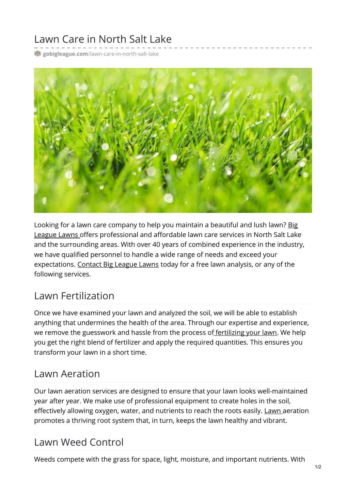# Lawn Care in North Salt Lake

**gobigleague.com**[/lawn-care-in-north-salt-lake](https://gobigleague.com/lawn-care-in-north-salt-lake/)



Looking for a lawn care company to help you maintain a beautiful and lush lawn? Big League Lawns offers [professional](https://gobigleague.com/) and affordable lawn care services in North Salt Lake and the surrounding areas. With over 40 years of combined experience in the industry, we have qualified personnel to handle a wide range of needs and exceed your expectations. [Contact](mailto:info@gobigleague.com) Big League Lawns today for a free lawn analysis, or any of the following services.

#### Lawn Fertilization

Once we have examined your lawn and analyzed the soil, we will be able to establish anything that undermines the health of the area. Through our expertise and experience, we remove the guesswork and hassle from the process of [fertilizing](https://gobigleague.com/lawn-fertilization-services-utah/) your lawn. We help you get the right blend of fertilizer and apply the required quantities. This ensures you transform your lawn in a short time.

#### Lawn Aeration

Our lawn aeration services are designed to ensure that your lawn looks well-maintained year after year. We make use of professional equipment to create holes in the soil, effectively allowing oxygen, water, and nutrients to reach the roots easily. [Lawn](https://gobigleague.com/lawn-aerator-service-utah/) aeration promotes a thriving root system that, in turn, keeps the lawn healthy and vibrant.

### Lawn Weed Control

Weeds compete with the grass for space, light, moisture, and important nutrients. With